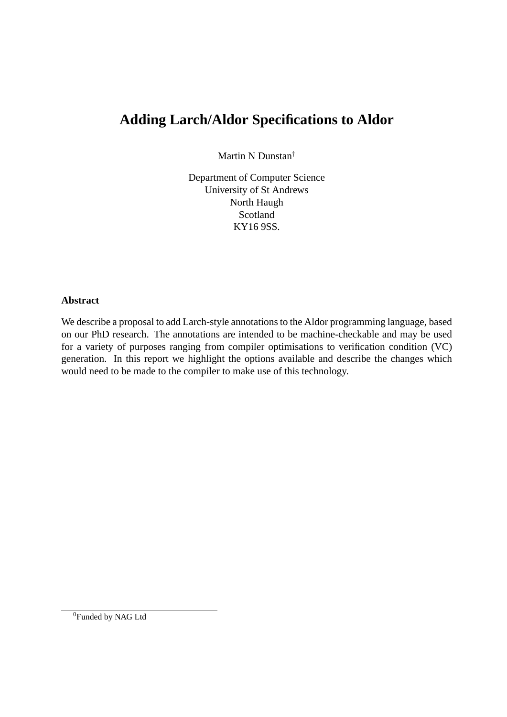# **Adding Larch/Aldor Specifications to Aldor**

Martin N Dunstan†

Department of Computer Science University of St Andrews North Haugh Scotland KY16 9SS.

#### **Abstract**

We describe a proposal to add Larch-style annotations to the Aldor programming language, based on our PhD research. The annotations are intended to be machine-checkable and may be used for a variety of purposes ranging from compiler optimisations to verification condition (VC) generation. In this report we highlight the options available and describe the changes which would need to be made to the compiler to make use of this technology.

<sup>0</sup>Funded by NAG Ltd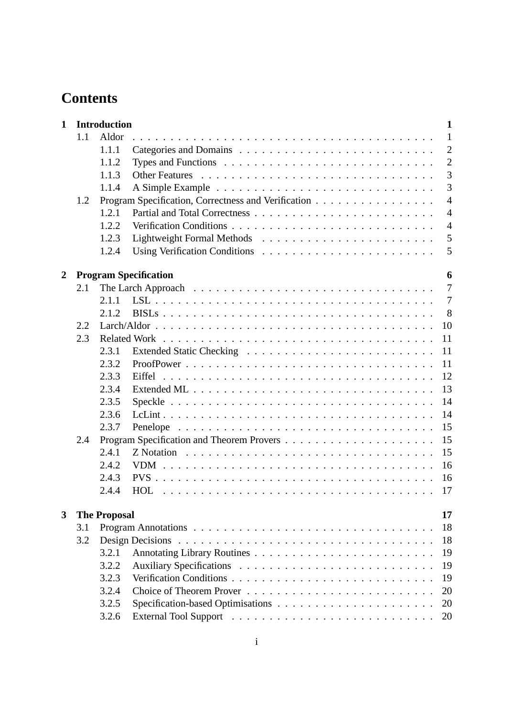# **Contents**

| $\mathbf{1}$   |     | <b>Introduction</b>       | 1                                                                                                                                                  |  |  |  |  |  |  |  |
|----------------|-----|---------------------------|----------------------------------------------------------------------------------------------------------------------------------------------------|--|--|--|--|--|--|--|
|                | 1.1 | Aldor                     | $\mathbf{1}$                                                                                                                                       |  |  |  |  |  |  |  |
|                |     | 1.1.1                     | $\overline{2}$                                                                                                                                     |  |  |  |  |  |  |  |
|                |     | 1.1.2                     | $\overline{2}$                                                                                                                                     |  |  |  |  |  |  |  |
|                |     | 1.1.3                     | 3                                                                                                                                                  |  |  |  |  |  |  |  |
|                |     | 1.1.4                     | 3                                                                                                                                                  |  |  |  |  |  |  |  |
|                | 1.2 |                           | Program Specification, Correctness and Verification<br>$\overline{4}$                                                                              |  |  |  |  |  |  |  |
|                |     | 1.2.1                     | $\overline{4}$                                                                                                                                     |  |  |  |  |  |  |  |
|                |     | 1.2.2                     | $\overline{4}$                                                                                                                                     |  |  |  |  |  |  |  |
|                |     | 1.2.3                     | 5                                                                                                                                                  |  |  |  |  |  |  |  |
|                |     | 1.2.4                     | 5                                                                                                                                                  |  |  |  |  |  |  |  |
|                |     |                           |                                                                                                                                                    |  |  |  |  |  |  |  |
| $\overline{2}$ |     |                           | <b>Program Specification</b><br>6                                                                                                                  |  |  |  |  |  |  |  |
|                | 2.1 |                           | $\overline{7}$                                                                                                                                     |  |  |  |  |  |  |  |
|                |     | 2.1.1                     | $\overline{7}$                                                                                                                                     |  |  |  |  |  |  |  |
|                |     | 2.1.2                     | 8                                                                                                                                                  |  |  |  |  |  |  |  |
|                | 2.2 |                           | 10                                                                                                                                                 |  |  |  |  |  |  |  |
|                | 2.3 |                           | 11                                                                                                                                                 |  |  |  |  |  |  |  |
|                |     | 2.3.1                     | 11                                                                                                                                                 |  |  |  |  |  |  |  |
|                |     | 2.3.2                     | 11<br>12                                                                                                                                           |  |  |  |  |  |  |  |
|                |     | 2.3.3                     |                                                                                                                                                    |  |  |  |  |  |  |  |
|                |     | 2.3.4                     | 13                                                                                                                                                 |  |  |  |  |  |  |  |
|                |     | 2.3.5                     | 14                                                                                                                                                 |  |  |  |  |  |  |  |
|                |     | 2.3.6                     | 14                                                                                                                                                 |  |  |  |  |  |  |  |
|                |     | 2.3.7                     | 15<br>Penelope                                                                                                                                     |  |  |  |  |  |  |  |
|                | 2.4 |                           | 15                                                                                                                                                 |  |  |  |  |  |  |  |
|                |     | 2.4.1                     | 15<br>Z Notation $\ldots$ , $\ldots$ , $\ldots$ , $\ldots$ , $\ldots$ , $\ldots$ , $\ldots$ , $\ldots$ , $\ldots$ , $\ldots$ , $\ldots$ , $\ldots$ |  |  |  |  |  |  |  |
|                |     | 2.4.2                     | 16                                                                                                                                                 |  |  |  |  |  |  |  |
|                |     | 2.4.3                     | 16                                                                                                                                                 |  |  |  |  |  |  |  |
|                |     | 2.4.4                     | 17                                                                                                                                                 |  |  |  |  |  |  |  |
| 3              |     | 17<br><b>The Proposal</b> |                                                                                                                                                    |  |  |  |  |  |  |  |
|                | 3.1 |                           | 18                                                                                                                                                 |  |  |  |  |  |  |  |
|                | 3.2 |                           | 18                                                                                                                                                 |  |  |  |  |  |  |  |
|                |     | 3.2.1                     | 19                                                                                                                                                 |  |  |  |  |  |  |  |
|                |     | 3.2.2                     | 19                                                                                                                                                 |  |  |  |  |  |  |  |
|                |     | 3.2.3                     | 19                                                                                                                                                 |  |  |  |  |  |  |  |
|                |     | 3.2.4                     | 20                                                                                                                                                 |  |  |  |  |  |  |  |
|                |     | 3.2.5                     | 20                                                                                                                                                 |  |  |  |  |  |  |  |
|                |     | 3.2.6                     | 20                                                                                                                                                 |  |  |  |  |  |  |  |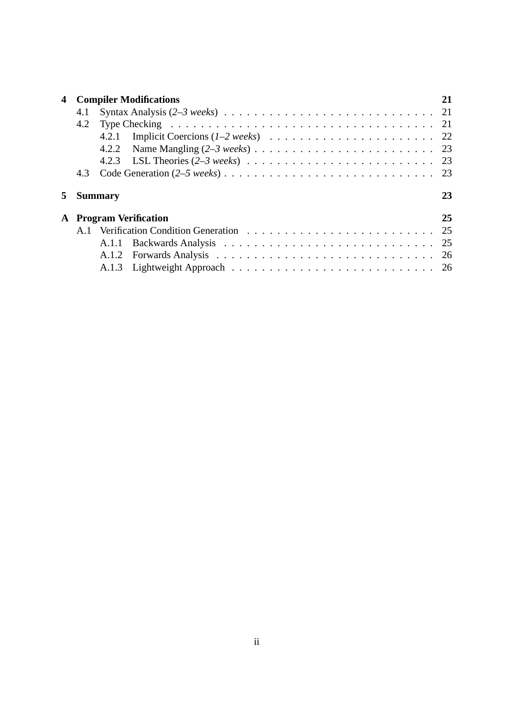| 4  | <b>Compiler Modifications</b> |                |    |  |  |  |  |
|----|-------------------------------|----------------|----|--|--|--|--|
|    | 4.1                           |                |    |  |  |  |  |
|    | 4.2                           |                |    |  |  |  |  |
|    |                               | 4.2.1          |    |  |  |  |  |
|    |                               |                |    |  |  |  |  |
|    |                               |                |    |  |  |  |  |
|    | 4.3                           |                |    |  |  |  |  |
| 5. |                               | <b>Summary</b> | 23 |  |  |  |  |
|    | <b>A</b> Program Verification |                |    |  |  |  |  |
|    |                               |                |    |  |  |  |  |
|    |                               | A.1.1          | 25 |  |  |  |  |
|    |                               | A.1.2          |    |  |  |  |  |
|    |                               |                |    |  |  |  |  |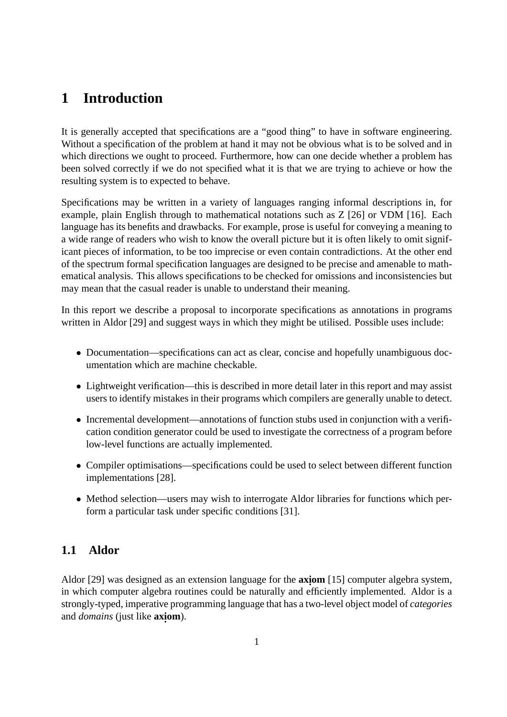# **1 Introduction**

It is generally accepted that specifications are a "good thing" to have in software engineering. Without a specification of the problem at hand it may not be obvious what is to be solved and in which directions we ought to proceed. Furthermore, how can one decide whether a problem has been solved correctly if we do not specified what it is that we are trying to achieve or how the resulting system is to expected to behave.

Specifications may be written in a variety of languages ranging informal descriptions in, for example, plain English through to mathematical notations such as Z [26] or VDM [16]. Each language has its benefits and drawbacks. For example, prose is useful for conveying a meaning to a wide range of readers who wish to know the overall picture but it is often likely to omit significant pieces of information, to be too imprecise or even contain contradictions. At the other end of the spectrum formal specification languages are designed to be precise and amenable to mathematical analysis. This allows specifications to be checked for omissions and inconsistencies but may mean that the casual reader is unable to understand their meaning.

In this report we describe a proposal to incorporate specifications as annotations in programs written in Aldor [29] and suggest ways in which they might be utilised. Possible uses include:

- Documentation—specifications can act as clear, concise and hopefully unambiguous documentation which are machine checkable.
- Lightweight verification—this is described in more detail later in this report and may assist users to identify mistakes in their programs which compilers are generally unable to detect.
- Incremental development—annotations of function stubs used in conjunction with a verification condition generator could be used to investigate the correctness of a program before low-level functions are actually implemented.
- Compiler optimisations—specifications could be used to select between different function implementations [28].
- Method selection—users may wish to interrogate Aldor libraries for functions which perform a particular task under specific conditions [31].

## **1.1 Aldor**

Aldor [29] was designed as an extension language for the **axiom** [15] computer algebra system, in which computer algebra routines could be naturally and efficiently implemented. Aldor is a strongly-typed, imperative programming language that has a two-level object model of *categories* and *domains* (just like **axi . om**).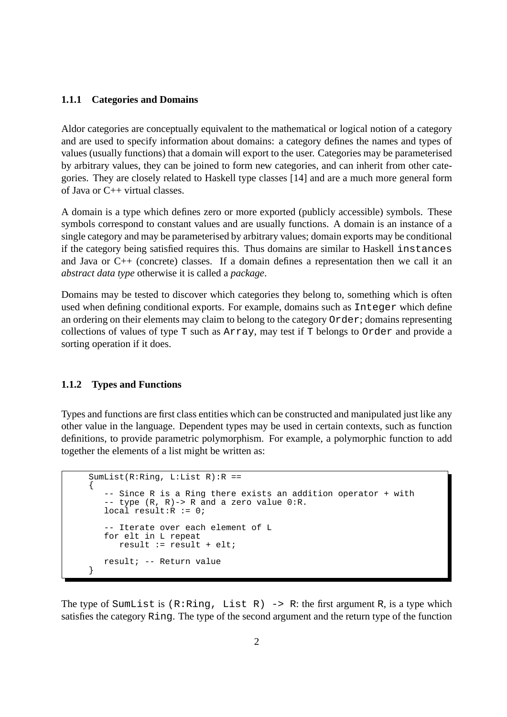#### **1.1.1 Categories and Domains**

Aldor categories are conceptually equivalent to the mathematical or logical notion of a category and are used to specify information about domains: a category defines the names and types of values (usually functions) that a domain will export to the user. Categories may be parameterised by arbitrary values, they can be joined to form new categories, and can inherit from other categories. They are closely related to Haskell type classes [14] and are a much more general form of Java or C++ virtual classes.

A domain is a type which defines zero or more exported (publicly accessible) symbols. These symbols correspond to constant values and are usually functions. A domain is an instance of a single category and may be parameterised by arbitrary values; domain exports may be conditional if the category being satisfied requires this. Thus domains are similar to Haskell instances and Java or C++ (concrete) classes. If a domain defines a representation then we call it an *abstract data type* otherwise it is called a *package*.

Domains may be tested to discover which categories they belong to, something which is often used when defining conditional exports. For example, domains such as Integer which define an ordering on their elements may claim to belong to the category Order; domains representing collections of values of type T such as Array, may test if T belongs to Order and provide a sorting operation if it does.

#### **1.1.2 Types and Functions**

Types and functions are first class entities which can be constructed and manipulated just like any other value in the language. Dependent types may be used in certain contexts, such as function definitions, to provide parametric polymorphism. For example, a polymorphic function to add together the elements of a list might be written as:

```
SumList(R:Ring, L:List R):R =={
   -- Since R is a Ring there exists an addition operator + with
   -- type (R, R)-> R and a zero value 0:R.
  local result:R := 0;
   -- Iterate over each element of L
  for elt in L repeat
     result := result + elt;
  result; -- Return value
}
```
The type of SumList is  $(R:Ring, List R) \rightarrow R$ : the first argument R, is a type which satisfies the category Ring. The type of the second argument and the return type of the function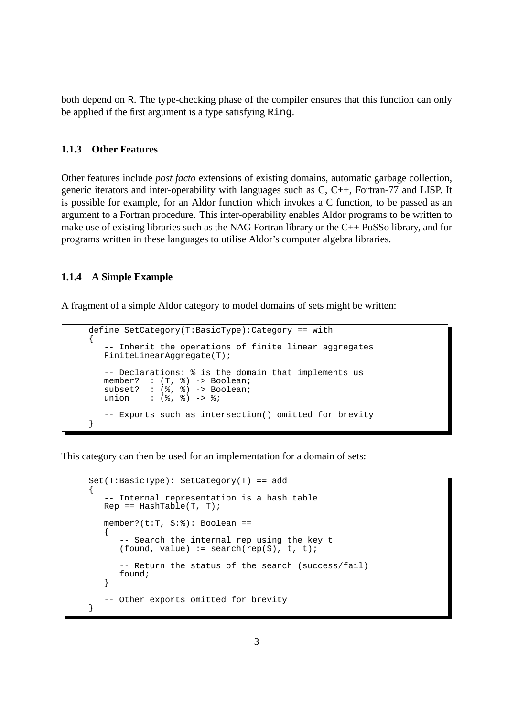both depend on R. The type-checking phase of the compiler ensures that this function can only be applied if the first argument is a type satisfying Ring.

#### **1.1.3 Other Features**

Other features include *post facto* extensions of existing domains, automatic garbage collection, generic iterators and inter-operability with languages such as C, C++, Fortran-77 and LISP. It is possible for example, for an Aldor function which invokes a C function, to be passed as an argument to a Fortran procedure. This inter-operability enables Aldor programs to be written to make use of existing libraries such as the NAG Fortran library or the C++ PoSSo library, and for programs written in these languages to utilise Aldor's computer algebra libraries.

#### **1.1.4 A Simple Example**

A fragment of a simple Aldor category to model domains of sets might be written:

```
define SetCategory(T:BasicType):Category == with
{
   -- Inherit the operations of finite linear aggregates
   FiniteLinearAggregate(T);
   -- Declarations: % is the domain that implements us
   member? : (T, %) -> Boolean;
   subset? : (%, %) -> Boolean;
   union : (%, %) -> ;-- Exports such as intersection() omitted for brevity
}
```
This category can then be used for an implementation for a domain of sets:

```
Set(T:BasicType): SetCategory(T) == add
{
   -- Internal representation is a hash table
  Rep == HashTable(T, T);member?(t:T, S:%): Boolean ==
   {
       -- Search the internal rep using the key t
      (found, value) := search(rep(S), t, t);
      -- Return the status of the search (success/fail)
      found;
   }
   -- Other exports omitted for brevity
}
```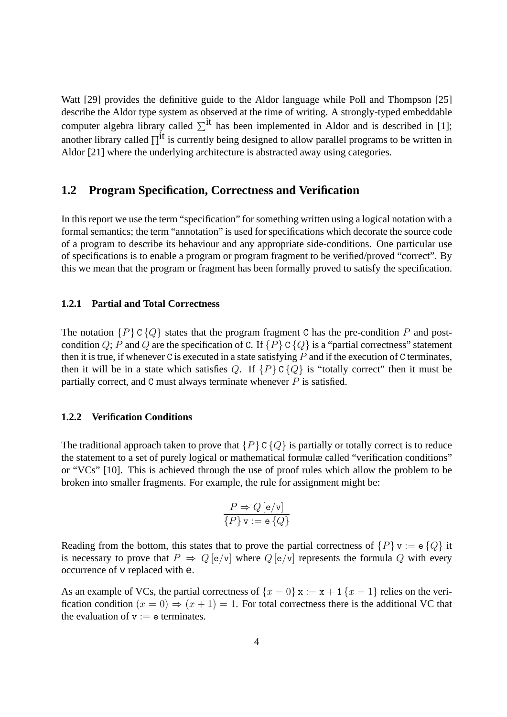Watt [29] provides the definitive guide to the Aldor language while Poll and Thompson [25] describe the Aldor type system as observed at the time of writing. A strongly-typed embeddable computer algebra library called  $\Sigma$ <sup>it</sup> has been implemented in Aldor and is described in [1]; another library called  $\Pi^{it}$  is currently being designed to allow parallel programs to be written in Aldor [21] where the underlying architecture is abstracted away using categories.

#### **1.2 Program Specification, Correctness and Verification**

In this report we use the term "specification" for something written using a logical notation with a formal semantics; the term "annotation" is used for specifications which decorate the source code of a program to describe its behaviour and any appropriate side-conditions. One particular use of specifications is to enable a program or program fragment to be verified/proved "correct". By this we mean that the program or fragment has been formally proved to satisfy the specification.

#### **1.2.1 Partial and Total Correctness**

The notation  $\{P\} \subset \{Q\}$  states that the program fragment C has the pre-condition P and postcondition Q; P and Q are the specification of C. If  $\{P\} \subset \{Q\}$  is a "partial correctness" statement then it is true, if whenever C is executed in a state satisfying  $P$  and if the execution of C terminates, then it will be in a state which satisfies Q. If  $\{P\} \subset \{Q\}$  is "totally correct" then it must be partially correct, and C must always terminate whenever  $P$  is satisfied.

#### **1.2.2 Verification Conditions**

The traditional approach taken to prove that  $\{P\} \subset \{Q\}$  is partially or totally correct is to reduce the statement to a set of purely logical or mathematical formulæ called "verification conditions" or "VCs" [10]. This is achieved through the use of proof rules which allow the problem to be broken into smaller fragments. For example, the rule for assignment might be:

$$
\frac{P \Rightarrow Q\left[\mathbf{e}/\mathbf{v}\right]}{\{P\}\,\mathbf{v} := \mathbf{e}\,\{Q\}}
$$

Reading from the bottom, this states that to prove the partial correctness of  $\{P\}$  v := e $\{Q\}$  it is necessary to prove that  $P \Rightarrow Q$  [e/v] where  $Q$  [e/v] represents the formula Q with every occurrence of v replaced with e.

As an example of VCs, the partial correctness of  $\{x = 0\}$   $x := x + 1$   $\{x = 1\}$  relies on the verification condition  $(x = 0) \Rightarrow (x + 1) = 1$ . For total correctness there is the additional VC that the evaluation of  $v := e$  terminates.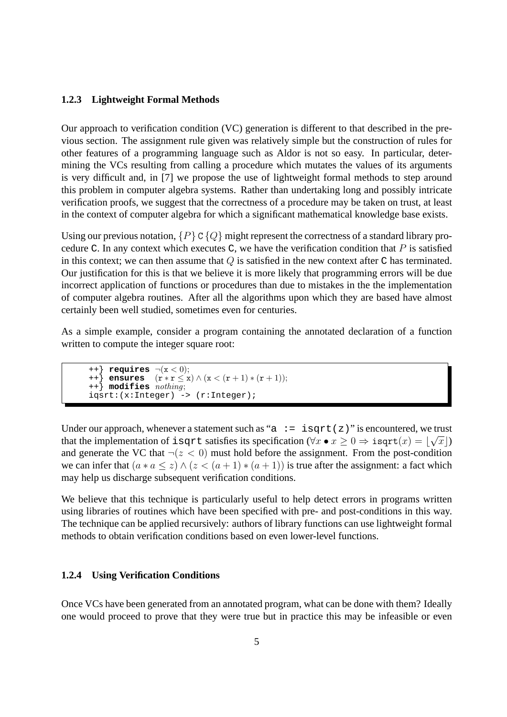#### **1.2.3 Lightweight Formal Methods**

Our approach to verification condition (VC) generation is different to that described in the previous section. The assignment rule given was relatively simple but the construction of rules for other features of a programming language such as Aldor is not so easy. In particular, determining the VCs resulting from calling a procedure which mutates the values of its arguments is very difficult and, in [7] we propose the use of lightweight formal methods to step around this problem in computer algebra systems. Rather than undertaking long and possibly intricate verification proofs, we suggest that the correctness of a procedure may be taken on trust, at least in the context of computer algebra for which a significant mathematical knowledge base exists.

Using our previous notation,  $\{P\} \subset \{Q\}$  might represent the correctness of a standard library procedure C. In any context which executes C, we have the verification condition that  $P$  is satisfied in this context; we can then assume that  $Q$  is satisfied in the new context after  $C$  has terminated. Our justification for this is that we believe it is more likely that programming errors will be due incorrect application of functions or procedures than due to mistakes in the the implementation of computer algebra routines. After all the algorithms upon which they are based have almost certainly been well studied, sometimes even for centuries.

As a simple example, consider a program containing the annotated declaration of a function written to compute the integer square root:

```
++} requires \neg(x < 0);++} ensures (r ∗ r ≤ x) ∧ (x < (r + 1) ∗ (r + 1));
++} modifies nothing;
igstr: (x:Integer) \rightarrow (r:Integer);
```
Under our approach, whenever a statement such as "a  $:=$  isqrt(z)" is encountered, we trust that the implementation of isqrt satisfies its specification ( $\forall x \bullet x \geq 0 \Rightarrow i$ sqrt $(x) = \lfloor \sqrt{x} \rfloor$ ) and generate the VC that  $\neg(z \leq 0)$  must hold before the assignment. From the post-condition we can infer that  $(a * a \leq z) \wedge (z \leq (a + 1) * (a + 1))$  is true after the assignment: a fact which may help us discharge subsequent verification conditions.

We believe that this technique is particularly useful to help detect errors in programs written using libraries of routines which have been specified with pre- and post-conditions in this way. The technique can be applied recursively: authors of library functions can use lightweight formal methods to obtain verification conditions based on even lower-level functions.

#### **1.2.4 Using Verification Conditions**

Once VCs have been generated from an annotated program, what can be done with them? Ideally one would proceed to prove that they were true but in practice this may be infeasible or even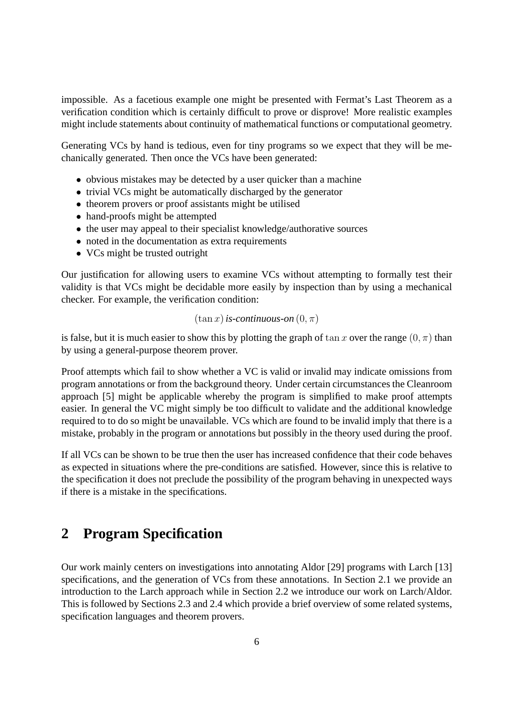impossible. As a facetious example one might be presented with Fermat's Last Theorem as a verification condition which is certainly difficult to prove or disprove! More realistic examples might include statements about continuity of mathematical functions or computational geometry.

Generating VCs by hand is tedious, even for tiny programs so we expect that they will be mechanically generated. Then once the VCs have been generated:

- obvious mistakes may be detected by a user quicker than a machine
- trivial VCs might be automatically discharged by the generator
- theorem provers or proof assistants might be utilised
- hand-proofs might be attempted
- the user may appeal to their specialist knowledge/authorative sources
- noted in the documentation as extra requirements
- VCs might be trusted outright

Our justification for allowing users to examine VCs without attempting to formally test their validity is that VCs might be decidable more easily by inspection than by using a mechanical checker. For example, the verification condition:

#### $(\tan x)$  *is-continuous-on*  $(0, \pi)$

is false, but it is much easier to show this by plotting the graph of  $\tan x$  over the range  $(0, \pi)$  than by using a general-purpose theorem prover.

Proof attempts which fail to show whether a VC is valid or invalid may indicate omissions from program annotations or from the background theory. Under certain circumstances the Cleanroom approach [5] might be applicable whereby the program is simplified to make proof attempts easier. In general the VC might simply be too difficult to validate and the additional knowledge required to to do so might be unavailable. VCs which are found to be invalid imply that there is a mistake, probably in the program or annotations but possibly in the theory used during the proof.

If all VCs can be shown to be true then the user has increased confidence that their code behaves as expected in situations where the pre-conditions are satisfied. However, since this is relative to the specification it does not preclude the possibility of the program behaving in unexpected ways if there is a mistake in the specifications.

# **2 Program Specification**

Our work mainly centers on investigations into annotating Aldor [29] programs with Larch [13] specifications, and the generation of VCs from these annotations. In Section 2.1 we provide an introduction to the Larch approach while in Section 2.2 we introduce our work on Larch/Aldor. This is followed by Sections 2.3 and 2.4 which provide a brief overview of some related systems, specification languages and theorem provers.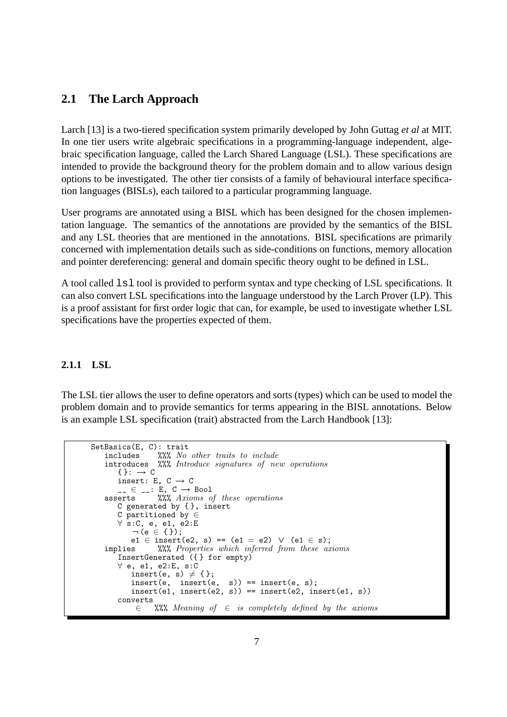## **2.1 The Larch Approach**

Larch [13] is a two-tiered specification system primarily developed by John Guttag *et al* at MIT. In one tier users write algebraic specifications in a programming-language independent, algebraic specification language, called the Larch Shared Language (LSL). These specifications are intended to provide the background theory for the problem domain and to allow various design options to be investigated. The other tier consists of a family of behavioural interface specification languages (BISLs), each tailored to a particular programming language.

User programs are annotated using a BISL which has been designed for the chosen implementation language. The semantics of the annotations are provided by the semantics of the BISL and any LSL theories that are mentioned in the annotations. BISL specifications are primarily concerned with implementation details such as side-conditions on functions, memory allocation and pointer dereferencing: general and domain specific theory ought to be defined in LSL.

A tool called  $1s1$  tool is provided to perform syntax and type checking of LSL specifications. It can also convert LSL specifications into the language understood by the Larch Prover (LP). This is a proof assistant for first order logic that can, for example, be used to investigate whether LSL specifications have the properties expected of them.

#### **2.1.1 LSL**

The LSL tier allows the user to define operators and sorts (types) which can be used to model the problem domain and to provide semantics for terms appearing in the BISL annotations. Below is an example LSL specification (trait) abstracted from the Larch Handbook [13]:

```
SetBasics(E, C): trait<br>includes \frac{\partial \mathcal{L}}{\partial \mathcal{L}} \frac{\partial \mathcal{L}}{\partial \mathcal{L}}includes %%% No other traits to include<br>introduces %%% Introduce signatures of ne
                            \frac{1}{2}\. Introduce signatures of new operations
            \{\}: \rightarrow C
           insert: E, C \rightarrow C\overline{\phantom{a}} = \overline{\phantom{a}} = \overline{\phantom{a}} = \overline{\phantom{a}} = \overline{\phantom{a}} = \overline{\phantom{a}} = \overline{\phantom{a}} = \overline{\phantom{a}} = \overline{\phantom{a}} = \overline{\phantom{a}} = \overline{\phantom{a}} = \overline{\phantom{a}} = \overline{\phantom{a}} = \overline{\phantom{a}} = \overline{\phantom{a}} = \overline{\phantom{a}}asserts %%% Axioms of these operations
           C generated by { }, insert
           C partitioned by ∈
           ∀ s:C, e, e1, e2:E
                  \neg (e \in { });
                 e1 \in insert(e2, s) == (e1 = e2) \vee (e1 \in s);
      implies %%% Properties which inferred from these axioms
           InsertGenerated ({ } for empty)
           ∀ e, e1, e2:E, s:C
                 insert(e, s) \neq { };
                  insert(e, insert(e, s)) == insert(e, s);
                  insert(e1, insert(e2, s)) == insert(e2, insert(e1, s))
            converts
                    \in %%% Meaning of \in is completely defined by the axioms
```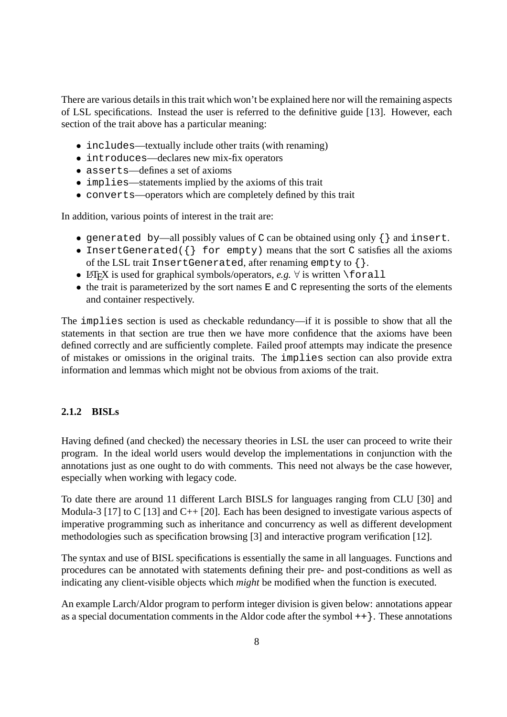There are various details in this trait which won't be explained here nor will the remaining aspects of LSL specifications. Instead the user is referred to the definitive guide [13]. However, each section of the trait above has a particular meaning:

- includes—textually include other traits (with renaming)
- introduces—declares new mix-fix operators
- asserts—defines a set of axioms
- implies—statements implied by the axioms of this trait
- converts—operators which are completely defined by this trait

In addition, various points of interest in the trait are:

- generated by—all possibly values of C can be obtained using only {} and insert.
- InsertGenerated( $\{\}$  for empty) means that the sort C satisfies all the axioms of the LSL trait InsertGenerated, after renaming empty to {}.
- LATEX is used for graphical symbols/operators, *e.g.*  $\forall$  is written \forall
- $\bullet$  the trait is parameterized by the sort names  $E$  and  $C$  representing the sorts of the elements and container respectively.

The implies section is used as checkable redundancy—if it is possible to show that all the statements in that section are true then we have more confidence that the axioms have been defined correctly and are sufficiently complete. Failed proof attempts may indicate the presence of mistakes or omissions in the original traits. The implies section can also provide extra information and lemmas which might not be obvious from axioms of the trait.

#### **2.1.2 BISLs**

Having defined (and checked) the necessary theories in LSL the user can proceed to write their program. In the ideal world users would develop the implementations in conjunction with the annotations just as one ought to do with comments. This need not always be the case however, especially when working with legacy code.

To date there are around 11 different Larch BISLS for languages ranging from CLU [30] and Modula-3 [17] to C [13] and C++ [20]. Each has been designed to investigate various aspects of imperative programming such as inheritance and concurrency as well as different development methodologies such as specification browsing [3] and interactive program verification [12].

The syntax and use of BISL specifications is essentially the same in all languages. Functions and procedures can be annotated with statements defining their pre- and post-conditions as well as indicating any client-visible objects which *might* be modified when the function is executed.

An example Larch/Aldor program to perform integer division is given below: annotations appear as a special documentation comments in the Aldor code after the symbol  $++$   $\}$ . These annotations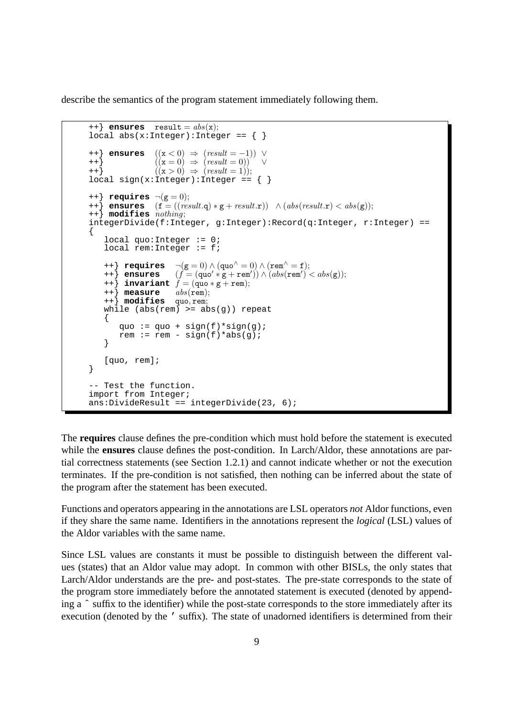describe the semantics of the program statement immediately following them.

```
++} ensures result = abs(x);
local abs(x:Integer):Integer = \{\}\{++\} ensures ((x < 0) \Rightarrow (result = -1)) \vee++} ((x = 0) \Rightarrow (result = 0)) \vee<br>++} ((x > 0) \Rightarrow (result = 1));((x > 0) \Rightarrow (result = 1));local sign(x:integer):Integer = \{\}++} requires \neg(g = 0);
++\frac{1}{2} ensures (f = ((\text{result}.q) * g + \text{result.r})) \land (\text{abs}(\text{result.r}) < \text{abs}(g));++} modifies nothing;
integerDivide(f:Integer, g:Integer):Record(q:Integer, r:Integer) ==
{
    local quo:Integer := 0;
    local rem: Integer := f;
    ++} requires \neg(g = 0) \land (quo<sup>\land</sup> = 0) \land (rem<sup>\land</sup> = f);
    ++\} ensures (f = (quo' * g + rem')) \wedge (abs(rem')' < abs(g));++} ensures (f = (quo' * g + rem' + ) invariant f = (quo * g + rem);<br>++} measure abs(rem);++} measure abs(rem);
    ++} modifies quo, rem;
    while (abs(rem) >= abs(g)) repeat
    {
        quo := quo + sign(f)*sign(q);
        rem := rem - sign(f)*abs(g);
    }
    [quo, rem];
}
-- Test the function.
import from Integer;
ans:DivideResult == integerDivide(23, 6);
```
The **requires** clause defines the pre-condition which must hold before the statement is executed while the **ensures** clause defines the post-condition. In Larch/Aldor, these annotations are partial correctness statements (see Section 1.2.1) and cannot indicate whether or not the execution terminates. If the pre-condition is not satisfied, then nothing can be inferred about the state of the program after the statement has been executed.

Functions and operators appearing in the annotations are LSL operators *not* Aldor functions, even if they share the same name. Identifiers in the annotations represent the *logical* (LSL) values of the Aldor variables with the same name.

Since LSL values are constants it must be possible to distinguish between the different values (states) that an Aldor value may adopt. In common with other BISLs, the only states that Larch/Aldor understands are the pre- and post-states. The pre-state corresponds to the state of the program store immediately before the annotated statement is executed (denoted by appending a ˆ suffix to the identifier) while the post-state corresponds to the store immediately after its execution (denoted by the ' suffix). The state of unadorned identifiers is determined from their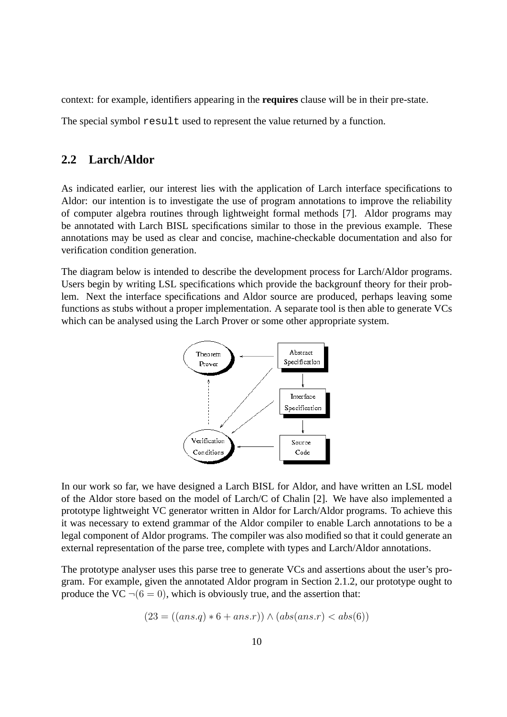context: for example, identifiers appearing in the **requires** clause will be in their pre-state.

The special symbol result used to represent the value returned by a function.

## **2.2 Larch/Aldor**

As indicated earlier, our interest lies with the application of Larch interface specifications to Aldor: our intention is to investigate the use of program annotations to improve the reliability of computer algebra routines through lightweight formal methods [7]. Aldor programs may be annotated with Larch BISL specifications similar to those in the previous example. These annotations may be used as clear and concise, machine-checkable documentation and also for verification condition generation.

The diagram below is intended to describe the development process for Larch/Aldor programs. Users begin by writing LSL specifications which provide the backgrounf theory for their problem. Next the interface specifications and Aldor source are produced, perhaps leaving some functions as stubs without a proper implementation. A separate tool is then able to generate VCs which can be analysed using the Larch Prover or some other appropriate system.



In our work so far, we have designed a Larch BISL for Aldor, and have written an LSL model of the Aldor store based on the model of Larch/C of Chalin [2]. We have also implemented a prototype lightweight VC generator written in Aldor for Larch/Aldor programs. To achieve this it was necessary to extend grammar of the Aldor compiler to enable Larch annotations to be a legal component of Aldor programs. The compiler was also modified so that it could generate an external representation of the parse tree, complete with types and Larch/Aldor annotations.

The prototype analyser uses this parse tree to generate VCs and assertions about the user's program. For example, given the annotated Aldor program in Section 2.1.2, our prototype ought to produce the VC  $\neg(6 = 0)$ , which is obviously true, and the assertion that:

$$
(23 = ((ans.q) * 6 + ans.r)) \land (abs(ans.r) < abs(6))
$$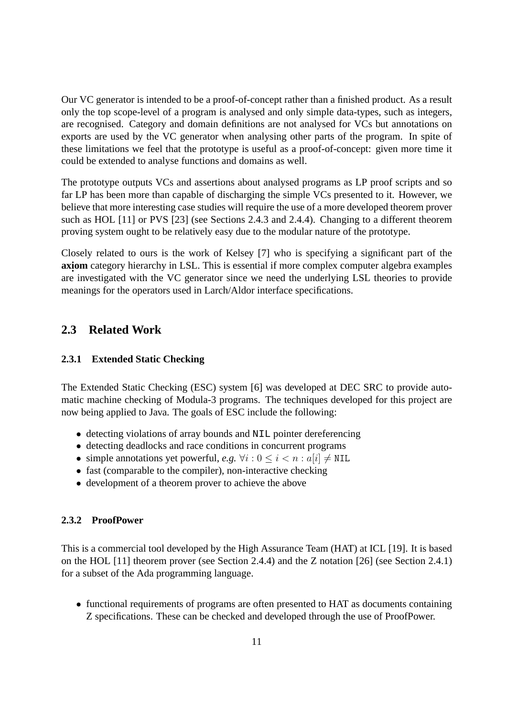Our VC generator is intended to be a proof-of-concept rather than a finished product. As a result only the top scope-level of a program is analysed and only simple data-types, such as integers, are recognised. Category and domain definitions are not analysed for VCs but annotations on exports are used by the VC generator when analysing other parts of the program. In spite of these limitations we feel that the prototype is useful as a proof-of-concept: given more time it could be extended to analyse functions and domains as well.

The prototype outputs VCs and assertions about analysed programs as LP proof scripts and so far LP has been more than capable of discharging the simple VCs presented to it. However, we believe that more interesting case studies will require the use of a more developed theorem prover such as HOL [11] or PVS [23] (see Sections 2.4.3 and 2.4.4). Changing to a different theorem proving system ought to be relatively easy due to the modular nature of the prototype.

Closely related to ours is the work of Kelsey [7] who is specifying a significant part of the **axi . om** category hierarchy in LSL. This is essential if more complex computer algebra examples are investigated with the VC generator since we need the underlying LSL theories to provide meanings for the operators used in Larch/Aldor interface specifications.

## **2.3 Related Work**

#### **2.3.1 Extended Static Checking**

The Extended Static Checking (ESC) system [6] was developed at DEC SRC to provide automatic machine checking of Modula-3 programs. The techniques developed for this project are now being applied to Java. The goals of ESC include the following:

- detecting violations of array bounds and NIL pointer dereferencing
- detecting deadlocks and race conditions in concurrent programs
- simple annotations yet powerful, *e.g.*  $\forall i : 0 \le i \le n : a[i] \neq \text{NIL}$
- fast (comparable to the compiler), non-interactive checking
- development of a theorem prover to achieve the above

#### **2.3.2 ProofPower**

This is a commercial tool developed by the High Assurance Team (HAT) at ICL [19]. It is based on the HOL [11] theorem prover (see Section 2.4.4) and the Z notation [26] (see Section 2.4.1) for a subset of the Ada programming language.

• functional requirements of programs are often presented to HAT as documents containing Z specifications. These can be checked and developed through the use of ProofPower.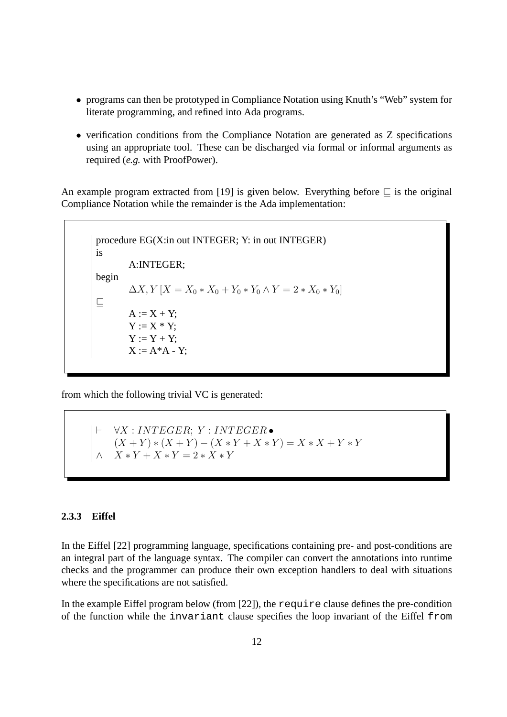- programs can then be prototyped in Compliance Notation using Knuth's "Web" system for literate programming, and refined into Ada programs.
- verification conditions from the Compliance Notation are generated as Z specifications using an appropriate tool. These can be discharged via formal or informal arguments as required (*e.g.* with ProofPower).

An example program extracted from [19] is given below. Everything before  $\subseteq$  is the original Compliance Notation while the remainder is the Ada implementation:

procedure EG(X:in out INTEGER; Y: in out INTEGER) is A:INTEGER; begin  $\Delta X, Y \mid X = X_0 * X_0 + Y_0 * Y_0 \wedge Y = 2 * X_0 * Y_0$  $\sqsubseteq$  $A := X + Y;$  $Y := X * Y;$  $Y := Y + Y$ :  $X := A^*A - Y;$ 

from which the following trivial VC is generated:

 $\vdash \forall X : INTEGR; Y : INTEGR \bullet$  $(X + Y) * (X + Y) - (X * Y + X * Y) = X * X + Y * Y$  $X * Y + X * Y = 2 * X * Y$ 

#### **2.3.3 Eiffel**

In the Eiffel [22] programming language, specifications containing pre- and post-conditions are an integral part of the language syntax. The compiler can convert the annotations into runtime checks and the programmer can produce their own exception handlers to deal with situations where the specifications are not satisfied.

In the example Eiffel program below (from [22]), the require clause defines the pre-condition of the function while the invariant clause specifies the loop invariant of the Eiffel from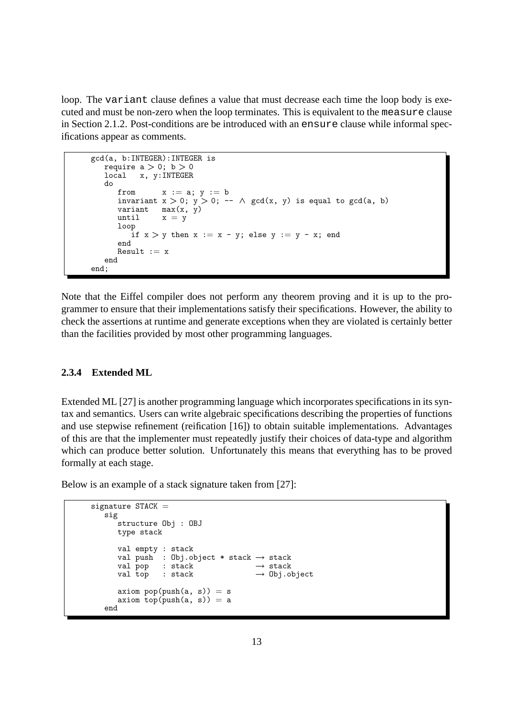loop. The variant clause defines a value that must decrease each time the loop body is executed and must be non-zero when the loop terminates. This is equivalent to the measure clause in Section 2.1.2. Post-conditions are be introduced with an ensure clause while informal specifications appear as comments.

```
gcd(a, b:INTEGER):INTEGER is
  require a > 0; b > 0local x, y:INTEGER
  do
     from x := a; y := binvariant x > 0; y > 0; -- \wedge gcd(x, y) is equal to gcd(a, b)
     variant max(x, y)<br>until x = yx = yloop
         if x > y then x := x - y; else y := y - x; end
      end
     Result := xend
end;
```
Note that the Eiffel compiler does not perform any theorem proving and it is up to the programmer to ensure that their implementations satisfy their specifications. However, the ability to check the assertions at runtime and generate exceptions when they are violated is certainly better than the facilities provided by most other programming languages.

#### **2.3.4 Extended ML**

Extended ML [27] is another programming language which incorporates specifications in its syntax and semantics. Users can write algebraic specifications describing the properties of functions and use stepwise refinement (reification [16]) to obtain suitable implementations. Advantages of this are that the implementer must repeatedly justify their choices of data-type and algorithm which can produce better solution. Unfortunately this means that everything has to be proved formally at each stage.

Below is an example of a stack signature taken from [27]:

```
signature STACK =sig
       structure Obj : OBJ
       type stack
       val empty : stack
       val push : Obj.object * stack \rightarrow stack \rightarrow stack \rightarrow stack
       val pop : stack<br>val top : stack
                                                 \rightarrow Obj.object
       axiom pop(push(a, s)) = saxiom top(push(a, s)) = a
    end
```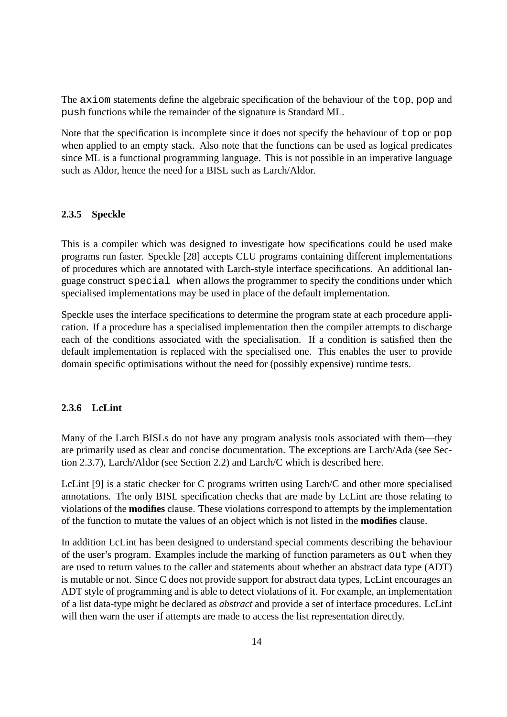The axiom statements define the algebraic specification of the behaviour of the top, pop and push functions while the remainder of the signature is Standard ML.

Note that the specification is incomplete since it does not specify the behaviour of top or pop when applied to an empty stack. Also note that the functions can be used as logical predicates since ML is a functional programming language. This is not possible in an imperative language such as Aldor, hence the need for a BISL such as Larch/Aldor.

#### **2.3.5 Speckle**

This is a compiler which was designed to investigate how specifications could be used make programs run faster. Speckle [28] accepts CLU programs containing different implementations of procedures which are annotated with Larch-style interface specifications. An additional language construct special when allows the programmer to specify the conditions under which specialised implementations may be used in place of the default implementation.

Speckle uses the interface specifications to determine the program state at each procedure application. If a procedure has a specialised implementation then the compiler attempts to discharge each of the conditions associated with the specialisation. If a condition is satisfied then the default implementation is replaced with the specialised one. This enables the user to provide domain specific optimisations without the need for (possibly expensive) runtime tests.

#### **2.3.6 LcLint**

Many of the Larch BISLs do not have any program analysis tools associated with them—they are primarily used as clear and concise documentation. The exceptions are Larch/Ada (see Section 2.3.7), Larch/Aldor (see Section 2.2) and Larch/C which is described here.

LcLint [9] is a static checker for C programs written using Larch/C and other more specialised annotations. The only BISL specification checks that are made by LcLint are those relating to violations of the **modifies** clause. These violations correspond to attempts by the implementation of the function to mutate the values of an object which is not listed in the **modifies** clause.

In addition LcLint has been designed to understand special comments describing the behaviour of the user's program. Examples include the marking of function parameters as out when they are used to return values to the caller and statements about whether an abstract data type (ADT) is mutable or not. Since C does not provide support for abstract data types, LcLint encourages an ADT style of programming and is able to detect violations of it. For example, an implementation of a list data-type might be declared as *abstract* and provide a set of interface procedures. LcLint will then warn the user if attempts are made to access the list representation directly.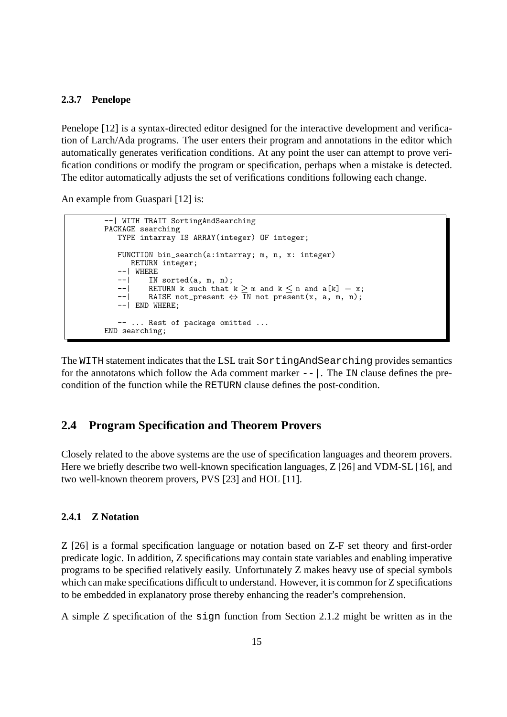#### **2.3.7 Penelope**

Penelope [12] is a syntax-directed editor designed for the interactive development and verification of Larch/Ada programs. The user enters their program and annotations in the editor which automatically generates verification conditions. At any point the user can attempt to prove verification conditions or modify the program or specification, perhaps when a mistake is detected. The editor automatically adjusts the set of verifications conditions following each change.

An example from Guaspari [12] is:

```
--| WITH TRAIT SortingAndSearching
PACKAGE searching
   TYPE intarray IS ARRAY(integer) OF integer;
   FUNCTION bin_search(a:intarray; m, n, x: integer)
        RETURN integer;
    --| WHERE
    -| IN sorted(a, m, n);<br>--| RETURN k such that
    --| RETURN k such that k \ge m and k \le n and a[k] = x;<br>--| BAISE not present \leftrightarrow IN not present(x, a, m, n);
             RAISE not_present \Leftrightarrow IN not present(x, a, m, n);
    --| END WHERE;
   -- ... Rest of package omitted ...
END searching;
```
The WITH statement indicates that the LSL trait SortingAndSearching provides semantics for the annotatons which follow the Ada comment marker  $-\frac{1}{x}$ . The IN clause defines the precondition of the function while the RETURN clause defines the post-condition.

## **2.4 Program Specification and Theorem Provers**

Closely related to the above systems are the use of specification languages and theorem provers. Here we briefly describe two well-known specification languages, Z [26] and VDM-SL [16], and two well-known theorem provers, PVS [23] and HOL [11].

#### **2.4.1 Z Notation**

Z [26] is a formal specification language or notation based on Z-F set theory and first-order predicate logic. In addition, Z specifications may contain state variables and enabling imperative programs to be specified relatively easily. Unfortunately Z makes heavy use of special symbols which can make specifications difficult to understand. However, it is common for Z specifications to be embedded in explanatory prose thereby enhancing the reader's comprehension.

A simple Z specification of the sign function from Section 2.1.2 might be written as in the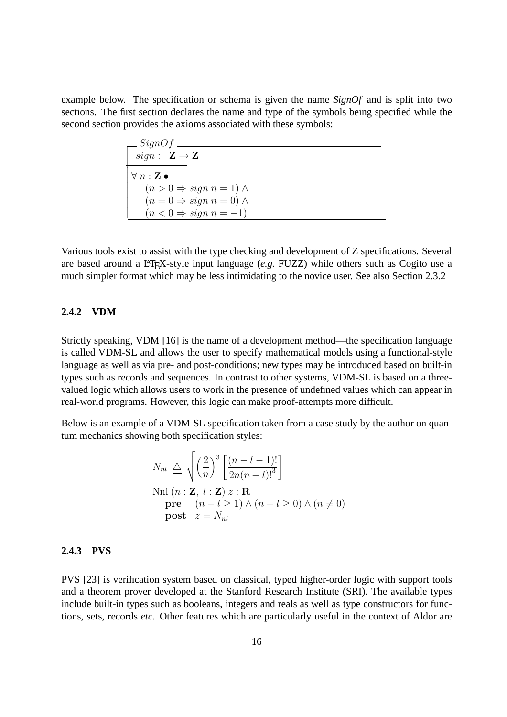example below. The specification or schema is given the name *SignOf* and is split into two sections. The first section declares the name and type of the symbols being specified while the second section provides the axioms associated with these symbols:

$$
\frac{SignOf}{sign: \mathbf{Z} \to \mathbf{Z}}
$$
\n
$$
\forall n: \mathbf{Z} \bullet
$$
\n
$$
(n > 0 \Rightarrow sign n = 1) \land
$$
\n
$$
(n = 0 \Rightarrow sign n = 0) \land
$$
\n
$$
(n < 0 \Rightarrow sign n = -1)
$$

Various tools exist to assist with the type checking and development of Z specifications. Several are based around a LATEX-style input language (*e.g.* FUZZ) while others such as Cogito use a much simpler format which may be less intimidating to the novice user. See also Section 2.3.2

#### **2.4.2 VDM**

Strictly speaking, VDM [16] is the name of a development method—the specification language is called VDM-SL and allows the user to specify mathematical models using a functional-style language as well as via pre- and post-conditions; new types may be introduced based on built-in types such as records and sequences. In contrast to other systems, VDM-SL is based on a threevalued logic which allows users to work in the presence of undefined values which can appear in real-world programs. However, this logic can make proof-attempts more difficult.

Below is an example of a VDM-SL specification taken from a case study by the author on quantum mechanics showing both specification styles:

$$
N_{nl} \triangleq \sqrt{\left(\frac{2}{n}\right)^3 \left[\frac{(n-l-1)!}{2n(n+l)!^3}\right]}
$$
  
\n
$$
Nnl (n : \mathbf{Z}, l : \mathbf{Z}) z : \mathbf{R}
$$
  
\n
$$
pre \quad (n-l \ge 1) \land (n+l \ge 0) \land (n \ne 0)
$$
  
\n
$$
post \quad z = N_{nl}
$$

#### **2.4.3 PVS**

PVS [23] is verification system based on classical, typed higher-order logic with support tools and a theorem prover developed at the Stanford Research Institute (SRI). The available types include built-in types such as booleans, integers and reals as well as type constructors for functions, sets, records *etc*. Other features which are particularly useful in the context of Aldor are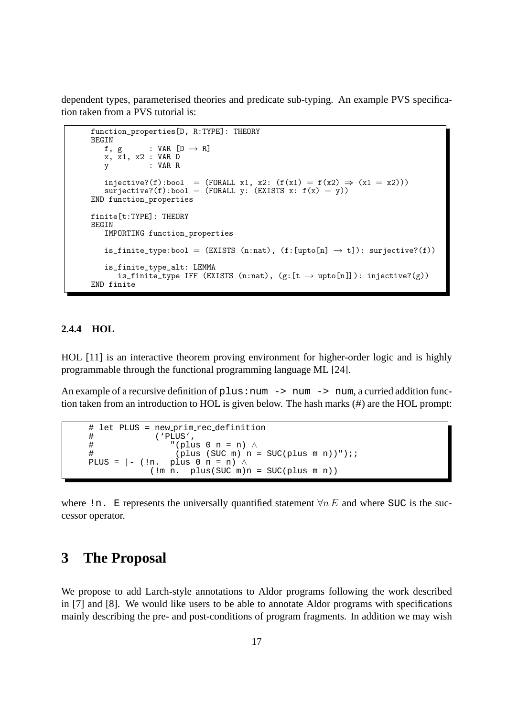dependent types, parameterised theories and predicate sub-typing. An example PVS specification taken from a PVS tutorial is:

```
function_properties[D, R:TYPE]: THEORY
BEGIN<br>f, g
             : VAR [D \rightarrow R]x, x1, x2 : VAR D
   V : VAR R
   injective?(f):bool = (FORALL x1, x2: (f(x1) = f(x2) \Rightarrow (x1 = x2)))surjective?(f):bool = (FORALL y: (EXISTS x: f(x) = y))END function_properties
finite[t:TYPE]: THEORY
BEGIN
   IMPORTING function_properties
   is_finite_type:bool = (EXISTS (n:nat), (f:[upto[n] \rightarrow t]): surjective?(f))is_finite_type_alt: LEMMA
      is_finite_type IFF (EXISTS (n:nat), (g:[t \rightarrow upto[n]]): injective?(g))END finite
```
#### **2.4.4 HOL**

HOL [11] is an interactive theorem proving environment for higher-order logic and is highly programmable through the functional programming language ML [24].

An example of a recursive definition of  $p \text{lus}:num \rightarrow num \rightarrow num$ , a curried addition function taken from an introduction to HOL is given below. The hash marks (#) are the HOL prompt:

```
# let PLUS = new prim rec definition
# ('PLUS',
# (plus 0 n = n) ∧<br># (plus (SUC m) n =
                  (plus (SUC m) n = SUC(plus m n))");;
PLUS = | - (ln. plus 0 n = n) \wedge(lm n. \text{plus}(SUC m)n = SUC(plus m n))
```
where !n. E represents the universally quantified statement  $\forall n E$  and where SUC is the successor operator.

## **3 The Proposal**

We propose to add Larch-style annotations to Aldor programs following the work described in [7] and [8]. We would like users to be able to annotate Aldor programs with specifications mainly describing the pre- and post-conditions of program fragments. In addition we may wish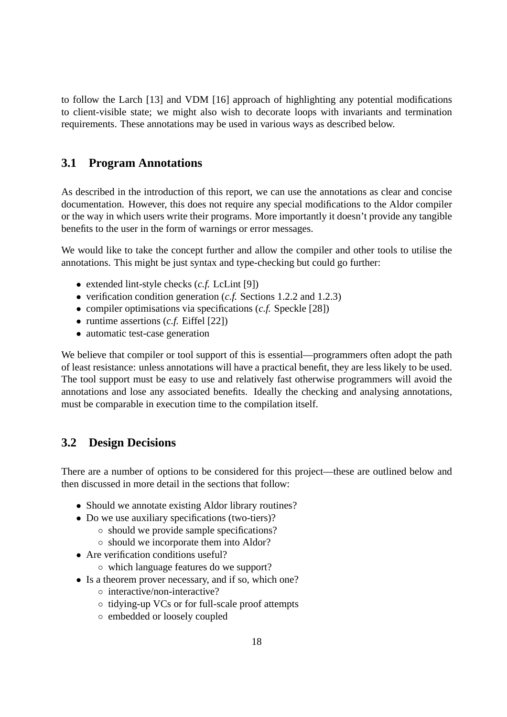to follow the Larch [13] and VDM [16] approach of highlighting any potential modifications to client-visible state; we might also wish to decorate loops with invariants and termination requirements. These annotations may be used in various ways as described below.

## **3.1 Program Annotations**

As described in the introduction of this report, we can use the annotations as clear and concise documentation. However, this does not require any special modifications to the Aldor compiler or the way in which users write their programs. More importantly it doesn't provide any tangible benefits to the user in the form of warnings or error messages.

We would like to take the concept further and allow the compiler and other tools to utilise the annotations. This might be just syntax and type-checking but could go further:

- extended lint-style checks (*c.f.* LcLint [9])
- verification condition generation (*c.f.* Sections 1.2.2 and 1.2.3)
- compiler optimisations via specifications (*c.f.* Speckle [28])
- runtime assertions (*c.f.* Eiffel [22])
- automatic test-case generation

We believe that compiler or tool support of this is essential—programmers often adopt the path of least resistance: unless annotations will have a practical benefit, they are less likely to be used. The tool support must be easy to use and relatively fast otherwise programmers will avoid the annotations and lose any associated benefits. Ideally the checking and analysing annotations, must be comparable in execution time to the compilation itself.

## **3.2 Design Decisions**

There are a number of options to be considered for this project—these are outlined below and then discussed in more detail in the sections that follow:

- Should we annotate existing Aldor library routines?
- Do we use auxiliary specifications (two-tiers)?
	- should we provide sample specifications?
	- should we incorporate them into Aldor?
- Are verification conditions useful?
	- which language features do we support?
- Is a theorem prover necessary, and if so, which one?
	- interactive/non-interactive?
	- tidying-up VCs or for full-scale proof attempts
	- embedded or loosely coupled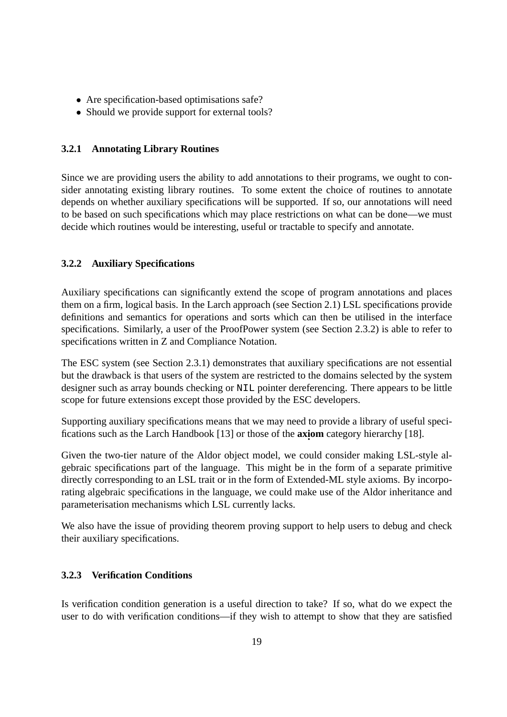- Are specification-based optimisations safe?
- Should we provide support for external tools?

#### **3.2.1 Annotating Library Routines**

Since we are providing users the ability to add annotations to their programs, we ought to consider annotating existing library routines. To some extent the choice of routines to annotate depends on whether auxiliary specifications will be supported. If so, our annotations will need to be based on such specifications which may place restrictions on what can be done—we must decide which routines would be interesting, useful or tractable to specify and annotate.

## **3.2.2 Auxiliary Specifications**

Auxiliary specifications can significantly extend the scope of program annotations and places them on a firm, logical basis. In the Larch approach (see Section 2.1) LSL specifications provide definitions and semantics for operations and sorts which can then be utilised in the interface specifications. Similarly, a user of the ProofPower system (see Section 2.3.2) is able to refer to specifications written in Z and Compliance Notation.

The ESC system (see Section 2.3.1) demonstrates that auxiliary specifications are not essential but the drawback is that users of the system are restricted to the domains selected by the system designer such as array bounds checking or NIL pointer dereferencing. There appears to be little scope for future extensions except those provided by the ESC developers.

Supporting auxiliary specifications means that we may need to provide a library of useful specifications such as the Larch Handbook [13] or those of the **axi . om** category hierarchy [18].

Given the two-tier nature of the Aldor object model, we could consider making LSL-style algebraic specifications part of the language. This might be in the form of a separate primitive directly corresponding to an LSL trait or in the form of Extended-ML style axioms. By incorporating algebraic specifications in the language, we could make use of the Aldor inheritance and parameterisation mechanisms which LSL currently lacks.

We also have the issue of providing theorem proving support to help users to debug and check their auxiliary specifications.

#### **3.2.3 Verification Conditions**

Is verification condition generation is a useful direction to take? If so, what do we expect the user to do with verification conditions—if they wish to attempt to show that they are satisfied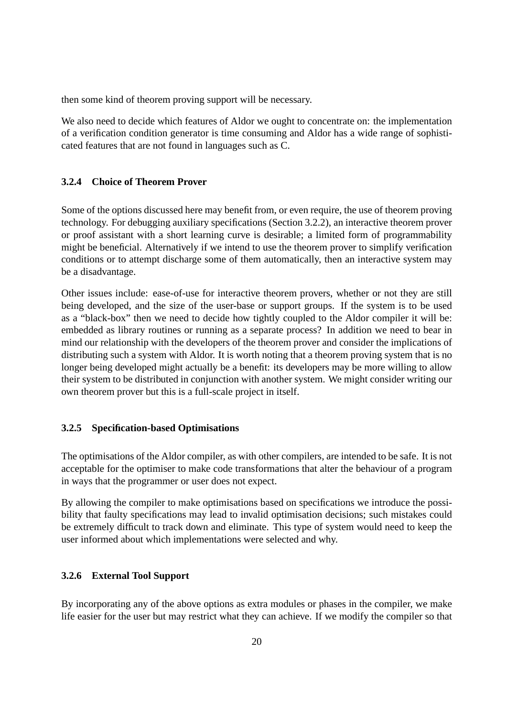then some kind of theorem proving support will be necessary.

We also need to decide which features of Aldor we ought to concentrate on: the implementation of a verification condition generator is time consuming and Aldor has a wide range of sophisticated features that are not found in languages such as C.

#### **3.2.4 Choice of Theorem Prover**

Some of the options discussed here may benefit from, or even require, the use of theorem proving technology. For debugging auxiliary specifications (Section 3.2.2), an interactive theorem prover or proof assistant with a short learning curve is desirable; a limited form of programmability might be beneficial. Alternatively if we intend to use the theorem prover to simplify verification conditions or to attempt discharge some of them automatically, then an interactive system may be a disadvantage.

Other issues include: ease-of-use for interactive theorem provers, whether or not they are still being developed, and the size of the user-base or support groups. If the system is to be used as a "black-box" then we need to decide how tightly coupled to the Aldor compiler it will be: embedded as library routines or running as a separate process? In addition we need to bear in mind our relationship with the developers of the theorem prover and consider the implications of distributing such a system with Aldor. It is worth noting that a theorem proving system that is no longer being developed might actually be a benefit: its developers may be more willing to allow their system to be distributed in conjunction with another system. We might consider writing our own theorem prover but this is a full-scale project in itself.

#### **3.2.5 Specification-based Optimisations**

The optimisations of the Aldor compiler, as with other compilers, are intended to be safe. It is not acceptable for the optimiser to make code transformations that alter the behaviour of a program in ways that the programmer or user does not expect.

By allowing the compiler to make optimisations based on specifications we introduce the possibility that faulty specifications may lead to invalid optimisation decisions; such mistakes could be extremely difficult to track down and eliminate. This type of system would need to keep the user informed about which implementations were selected and why.

#### **3.2.6 External Tool Support**

By incorporating any of the above options as extra modules or phases in the compiler, we make life easier for the user but may restrict what they can achieve. If we modify the compiler so that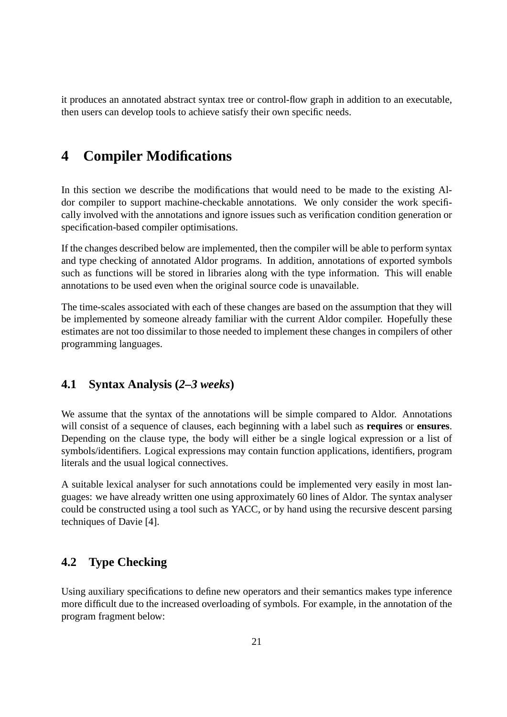it produces an annotated abstract syntax tree or control-flow graph in addition to an executable, then users can develop tools to achieve satisfy their own specific needs.

# **4 Compiler Modifications**

In this section we describe the modifications that would need to be made to the existing Aldor compiler to support machine-checkable annotations. We only consider the work specifically involved with the annotations and ignore issues such as verification condition generation or specification-based compiler optimisations.

If the changes described below are implemented, then the compiler will be able to perform syntax and type checking of annotated Aldor programs. In addition, annotations of exported symbols such as functions will be stored in libraries along with the type information. This will enable annotations to be used even when the original source code is unavailable.

The time-scales associated with each of these changes are based on the assumption that they will be implemented by someone already familiar with the current Aldor compiler. Hopefully these estimates are not too dissimilar to those needed to implement these changes in compilers of other programming languages.

## **4.1 Syntax Analysis (***2–3 weeks***)**

We assume that the syntax of the annotations will be simple compared to Aldor. Annotations will consist of a sequence of clauses, each beginning with a label such as **requires** or **ensures**. Depending on the clause type, the body will either be a single logical expression or a list of symbols/identifiers. Logical expressions may contain function applications, identifiers, program literals and the usual logical connectives.

A suitable lexical analyser for such annotations could be implemented very easily in most languages: we have already written one using approximately 60 lines of Aldor. The syntax analyser could be constructed using a tool such as YACC, or by hand using the recursive descent parsing techniques of Davie [4].

## **4.2 Type Checking**

Using auxiliary specifications to define new operators and their semantics makes type inference more difficult due to the increased overloading of symbols. For example, in the annotation of the program fragment below: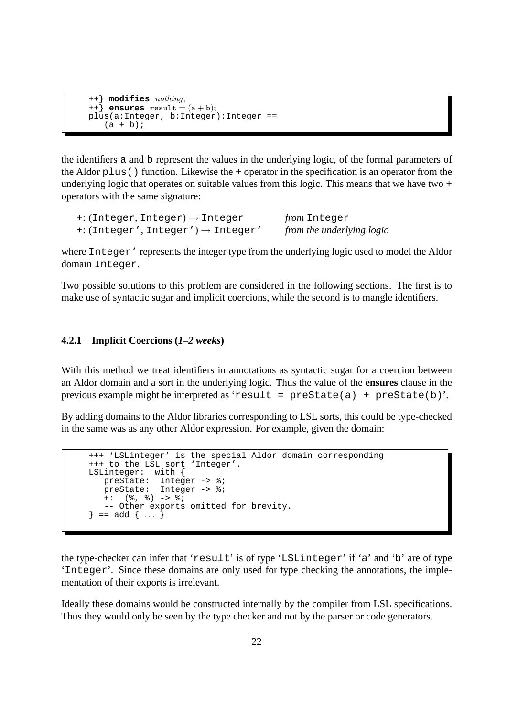```
++} modifies nothing;
++} ensures result = (a + b);
plus(a:Integer, b:Integer):Integer ==
   (a + b);
```
the identifiers a and b represent the values in the underlying logic, of the formal parameters of the Aldor plus() function. Likewise the + operator in the specification is an operator from the underlying logic that operates on suitable values from this logic. This means that we have two + operators with the same signature:

```
+: (Integer, Integer) → Integer from Integer
+: (Integer', Integer') → Integer' from the underlying logic
```
where Integer' represents the integer type from the underlying logic used to model the Aldor domain Integer.

Two possible solutions to this problem are considered in the following sections. The first is to make use of syntactic sugar and implicit coercions, while the second is to mangle identifiers.

## **4.2.1 Implicit Coercions (***1–2 weeks***)**

With this method we treat identifiers in annotations as syntactic sugar for a coercion between an Aldor domain and a sort in the underlying logic. Thus the value of the **ensures** clause in the previous example might be interpreted as 'result = preState(a) + preState(b)'.

By adding domains to the Aldor libraries corresponding to LSL sorts, this could be type-checked in the same was as any other Aldor expression. For example, given the domain:

```
+++ 'LSLinteger' is the special Aldor domain corresponding
+++ to the LSL sort 'Integer'.
LSLinteger: with {
  preState: Integer -> %;
  preState: Integer -> %;
   +: (\frac{6}{6}, \frac{6}{6}) \rightarrow \frac{6}{6};
   -- Other exports omitted for brevity.
\} == add { ... }
```
the type-checker can infer that 'result' is of type 'LSLinteger' if 'a' and 'b' are of type 'Integer'. Since these domains are only used for type checking the annotations, the implementation of their exports is irrelevant.

Ideally these domains would be constructed internally by the compiler from LSL specifications. Thus they would only be seen by the type checker and not by the parser or code generators.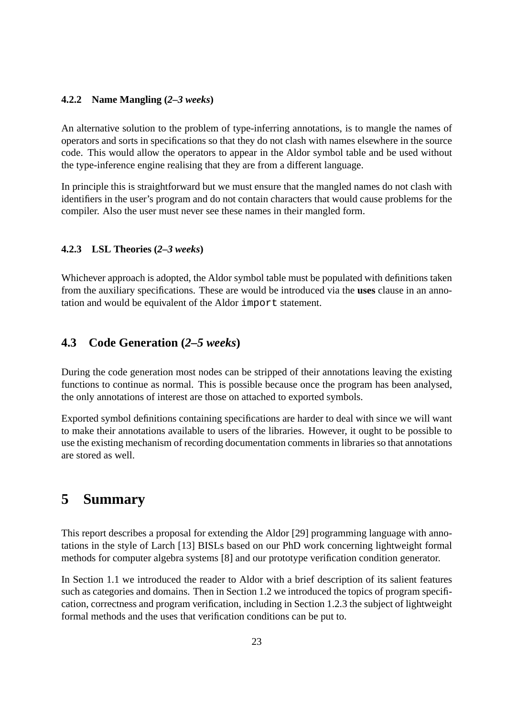#### **4.2.2 Name Mangling (***2–3 weeks***)**

An alternative solution to the problem of type-inferring annotations, is to mangle the names of operators and sorts in specifications so that they do not clash with names elsewhere in the source code. This would allow the operators to appear in the Aldor symbol table and be used without the type-inference engine realising that they are from a different language.

In principle this is straightforward but we must ensure that the mangled names do not clash with identifiers in the user's program and do not contain characters that would cause problems for the compiler. Also the user must never see these names in their mangled form.

#### **4.2.3 LSL Theories (***2–3 weeks***)**

Whichever approach is adopted, the Aldor symbol table must be populated with definitions taken from the auxiliary specifications. These are would be introduced via the **uses** clause in an annotation and would be equivalent of the Aldor import statement.

## **4.3 Code Generation (***2–5 weeks***)**

During the code generation most nodes can be stripped of their annotations leaving the existing functions to continue as normal. This is possible because once the program has been analysed, the only annotations of interest are those on attached to exported symbols.

Exported symbol definitions containing specifications are harder to deal with since we will want to make their annotations available to users of the libraries. However, it ought to be possible to use the existing mechanism of recording documentation comments in libraries so that annotations are stored as well.

# **5 Summary**

This report describes a proposal for extending the Aldor [29] programming language with annotations in the style of Larch [13] BISLs based on our PhD work concerning lightweight formal methods for computer algebra systems [8] and our prototype verification condition generator.

In Section 1.1 we introduced the reader to Aldor with a brief description of its salient features such as categories and domains. Then in Section 1.2 we introduced the topics of program specification, correctness and program verification, including in Section 1.2.3 the subject of lightweight formal methods and the uses that verification conditions can be put to.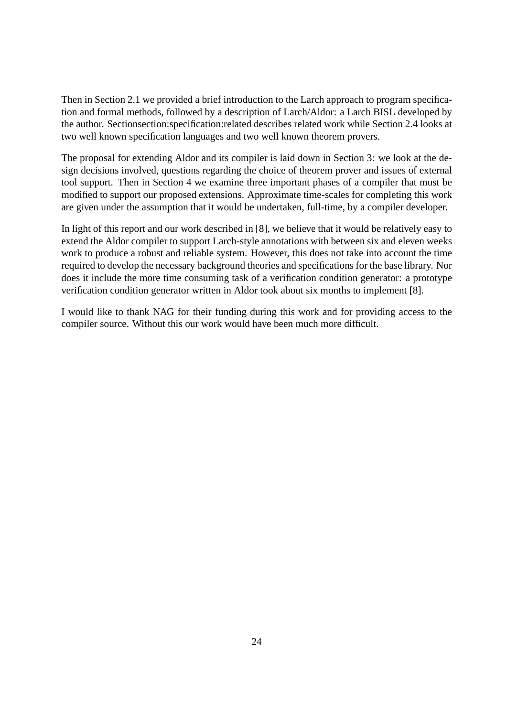Then in Section 2.1 we provided a brief introduction to the Larch approach to program specification and formal methods, followed by a description of Larch/Aldor: a Larch BISL developed by the author. Sectionsection:specification:related describes related work while Section 2.4 looks at two well known specification languages and two well known theorem provers.

The proposal for extending Aldor and its compiler is laid down in Section 3: we look at the design decisions involved, questions regarding the choice of theorem prover and issues of external tool support. Then in Section 4 we examine three important phases of a compiler that must be modified to support our proposed extensions. Approximate time-scales for completing this work are given under the assumption that it would be undertaken, full-time, by a compiler developer.

In light of this report and our work described in [8], we believe that it would be relatively easy to extend the Aldor compiler to support Larch-style annotations with between six and eleven weeks work to produce a robust and reliable system. However, this does not take into account the time required to develop the necessary background theories and specifications for the base library. Nor does it include the more time consuming task of a verification condition generator: a prototype verification condition generator written in Aldor took about six months to implement [8].

I would like to thank NAG for their funding during this work and for providing access to the compiler source. Without this our work would have been much more difficult.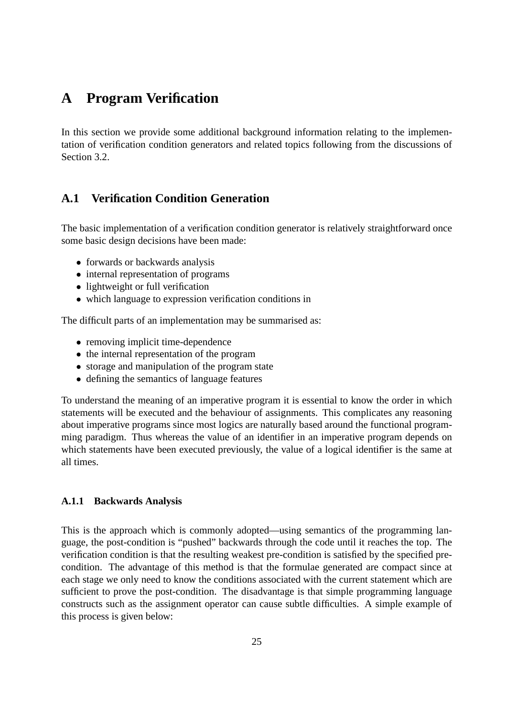# **A Program Verification**

In this section we provide some additional background information relating to the implementation of verification condition generators and related topics following from the discussions of Section 3.2.

## **A.1 Verification Condition Generation**

The basic implementation of a verification condition generator is relatively straightforward once some basic design decisions have been made:

- forwards or backwards analysis
- internal representation of programs
- lightweight or full verification
- which language to expression verification conditions in

The difficult parts of an implementation may be summarised as:

- removing implicit time-dependence
- the internal representation of the program
- storage and manipulation of the program state
- defining the semantics of language features

To understand the meaning of an imperative program it is essential to know the order in which statements will be executed and the behaviour of assignments. This complicates any reasoning about imperative programs since most logics are naturally based around the functional programming paradigm. Thus whereas the value of an identifier in an imperative program depends on which statements have been executed previously, the value of a logical identifier is the same at all times.

#### **A.1.1 Backwards Analysis**

This is the approach which is commonly adopted—using semantics of the programming language, the post-condition is "pushed" backwards through the code until it reaches the top. The verification condition is that the resulting weakest pre-condition is satisfied by the specified precondition. The advantage of this method is that the formulae generated are compact since at each stage we only need to know the conditions associated with the current statement which are sufficient to prove the post-condition. The disadvantage is that simple programming language constructs such as the assignment operator can cause subtle difficulties. A simple example of this process is given below: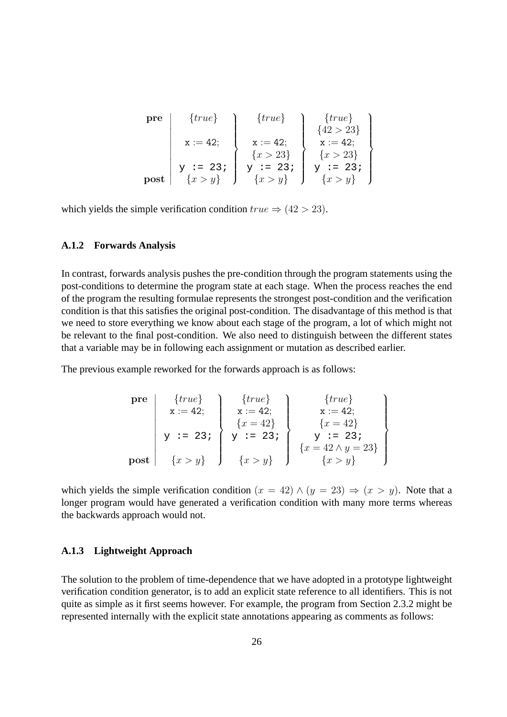| pre  | $\{true\}$  | $\{true\}$   | $\{true\}$    |
|------|-------------|--------------|---------------|
|      |             |              | $\{42 > 23\}$ |
|      | $x := 42$ ; | $x := 42$ ;  | $x := 42;$    |
|      |             | $\{x > 23\}$ | $\{x > 23\}$  |
|      | $y := 23i$  | $y := 23;$   | $y := 23;$    |
| post | $\{x>y\}$   | $\{x > y\}$  | $\{x>y\}$     |

which yields the simple verification condition  $true \Rightarrow (42 > 23)$ .

#### **A.1.2 Forwards Analysis**

In contrast, forwards analysis pushes the pre-condition through the program statements using the post-conditions to determine the program state at each stage. When the process reaches the end of the program the resulting formulae represents the strongest post-condition and the verification condition is that this satisfies the original post-condition. The disadvantage of this method is that we need to store everything we know about each stage of the program, a lot of which might not be relevant to the final post-condition. We also need to distinguish between the different states that a variable may be in following each assignment or mutation as described earlier.

The previous example reworked for the forwards approach is as follows:

pre 
$$
\begin{array}{c} \{true\} \\ x := 42; \\ y := 23 \} \\ \text{post } \end{array} \begin{array}{c} \{true\} \\ x := 42; \\ \{x = 42\} \\ \{x = 42\} \\ \{x = 23 \} \\ \{x > y\} \end{array} \begin{array}{c} \{true\} \\ x := 42; \\ \{x = 42\} \\ \{x = 42 \land y = 23\} \\ \{x = 42 \land y = 23\} \\ \{x > y\} \end{array} \begin{array}{c} \{true\} \\ x := 42; \\ \{x = 42 \land y = 23\} \\ \{x > y\} \end{array}
$$

which yields the simple verification condition  $(x = 42) \wedge (y = 23) \Rightarrow (x > y)$ . Note that a longer program would have generated a verification condition with many more terms whereas the backwards approach would not.

#### **A.1.3 Lightweight Approach**

The solution to the problem of time-dependence that we have adopted in a prototype lightweight verification condition generator, is to add an explicit state reference to all identifiers. This is not quite as simple as it first seems however. For example, the program from Section 2.3.2 might be represented internally with the explicit state annotations appearing as comments as follows: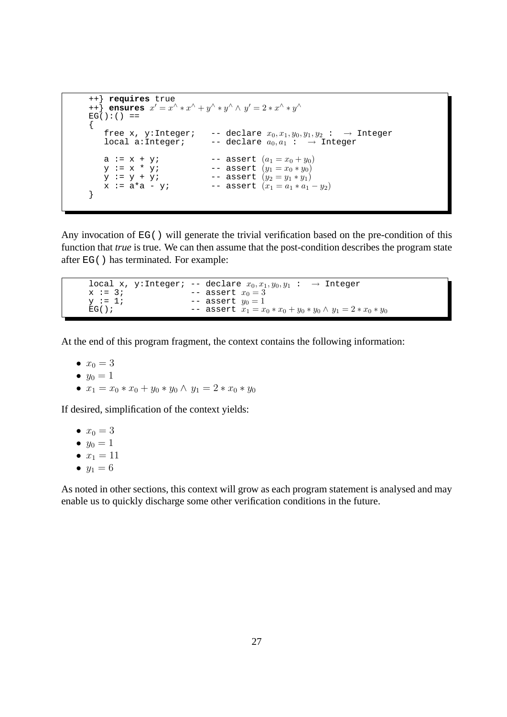```
++} requires true
+ ensures x' = x^{\wedge} * x^{\wedge} + y^{\wedge} * y^{\wedge} \wedge y' = 2 * x^{\wedge} * y^{\wedge}EG() : ( ) ==
{
     free x, y:Integer; -- declare x_0, x_1, y_0, y_1, y_2 : \rightarrow Integer<br>local a:Integer; -- declare a_0, a_1 : \rightarrow Integer
                                          -- declare a_0, a_1 : \rightarrow Integer
     a := x + y; -- assert (a_1 = x_0 + y_0)<br>
y := x * y; -- assert (y_1 = x_0 * y_0)<br>
y := y + y; -- assert (y_2 = y_1 * y_1)-- assert (y_1 = x_0 * y_0)y := y + y; -- assert (y_2 = y_1 * y_1)x := a * a - y; -- assert (x_1 = a_1 * a_1 - y_2)}
```
Any invocation of EG() will generate the trivial verification based on the pre-condition of this function that *true* is true. We can then assume that the post-condition describes the program state after EG() has terminated. For example:

```
local x, y:Integer; -- declare x_0, x_1, y_0, y_1 : \rightarrow Integer<br>x := 3; -- assert x_0 = 3x := 3; -- assert x_0 = 3<br>
y := 1; -- assert y_0 = 1y := 1; -- assert y_0 = 1<br>EG(); -- assert x_1 = x-- assert x_1 = x_0 * x_0 + y_0 * y_0 \wedge y_1 = 2 * x_0 * y_0
```
At the end of this program fragment, the context contains the following information:

- $x_0 = 3$
- $y_0 = 1$
- $x_1 = x_0 \cdot x_0 + y_0 \cdot y_0 \wedge y_1 = 2 \cdot x_0 \cdot y_0$

If desired, simplification of the context yields:

- $x_0 = 3$
- $y_0 = 1$
- $x_1 = 11$
- $y_1 = 6$

As noted in other sections, this context will grow as each program statement is analysed and may enable us to quickly discharge some other verification conditions in the future.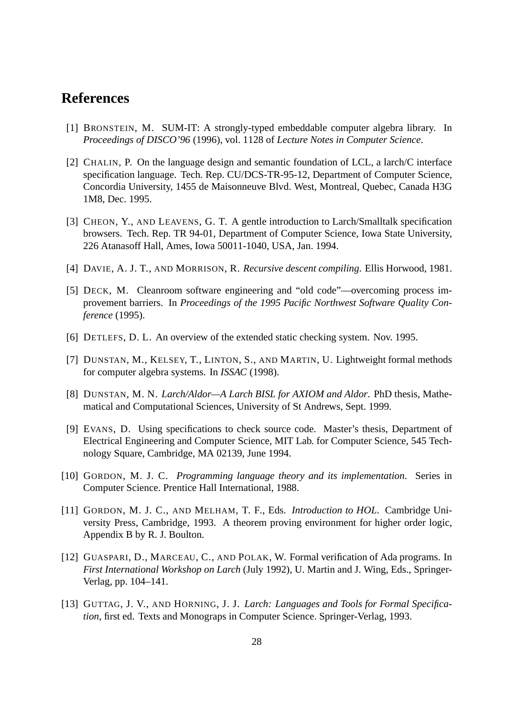# **References**

- [1] BRONSTEIN, M. SUM-IT: A strongly-typed embeddable computer algebra library. In *Proceedings of DISCO'96* (1996), vol. 1128 of *Lecture Notes in Computer Science*.
- [2] CHALIN, P. On the language design and semantic foundation of LCL, a larch/C interface specification language. Tech. Rep. CU/DCS-TR-95-12, Department of Computer Science, Concordia University, 1455 de Maisonneuve Blvd. West, Montreal, Quebec, Canada H3G 1M8, Dec. 1995.
- [3] CHEON, Y., AND LEAVENS, G. T. A gentle introduction to Larch/Smalltalk specification browsers. Tech. Rep. TR 94-01, Department of Computer Science, Iowa State University, 226 Atanasoff Hall, Ames, Iowa 50011-1040, USA, Jan. 1994.
- [4] DAVIE, A. J. T., AND MORRISON, R. *Recursive descent compiling*. Ellis Horwood, 1981.
- [5] DECK, M. Cleanroom software engineering and "old code"—overcoming process improvement barriers. In *Proceedings of the 1995 Pacific Northwest Software Quality Conference* (1995).
- [6] DETLEFS, D. L. An overview of the extended static checking system. Nov. 1995.
- [7] DUNSTAN, M., KELSEY, T., LINTON, S., AND MARTIN, U. Lightweight formal methods for computer algebra systems. In *ISSAC* (1998).
- [8] DUNSTAN, M. N. *Larch/Aldor—A Larch BISL for AXIOM and Aldor*. PhD thesis, Mathematical and Computational Sciences, University of St Andrews, Sept. 1999.
- [9] EVANS, D. Using specifications to check source code. Master's thesis, Department of Electrical Engineering and Computer Science, MIT Lab. for Computer Science, 545 Technology Square, Cambridge, MA 02139, June 1994.
- [10] GORDON, M. J. C. *Programming language theory and its implementation*. Series in Computer Science. Prentice Hall International, 1988.
- [11] GORDON, M. J. C., AND MELHAM, T. F., Eds. *Introduction to HOL*. Cambridge University Press, Cambridge, 1993. A theorem proving environment for higher order logic, Appendix B by R. J. Boulton.
- [12] GUASPARI, D., MARCEAU, C., AND POLAK, W. Formal verification of Ada programs. In *First International Workshop on Larch* (July 1992), U. Martin and J. Wing, Eds., Springer-Verlag, pp. 104–141.
- [13] GUTTAG, J. V., AND HORNING, J. J. *Larch: Languages and Tools for Formal Specification*, first ed. Texts and Monograps in Computer Science. Springer-Verlag, 1993.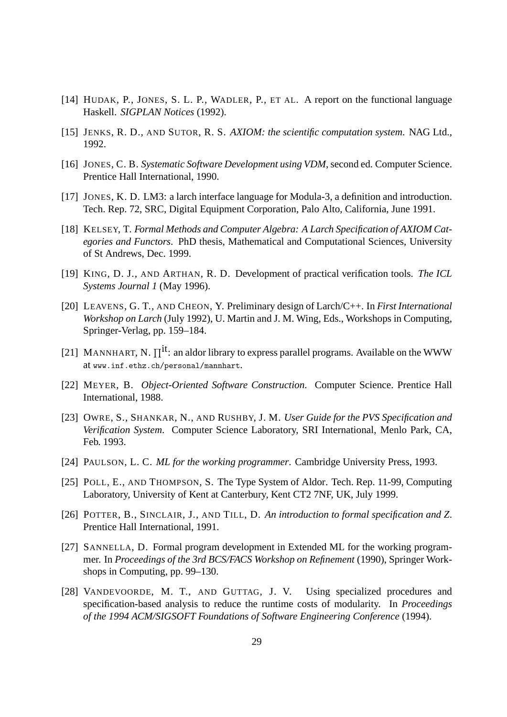- [14] HUDAK, P., JONES, S. L. P., WADLER, P., ET AL. A report on the functional language Haskell. *SIGPLAN Notices* (1992).
- [15] JENKS, R. D., AND SUTOR, R. S. *AXIOM: the scientific computation system*. NAG Ltd., 1992.
- [16] JONES, C. B. *Systematic Software Development using VDM*, second ed. Computer Science. Prentice Hall International, 1990.
- [17] JONES, K. D. LM3: a larch interface language for Modula-3, a definition and introduction. Tech. Rep. 72, SRC, Digital Equipment Corporation, Palo Alto, California, June 1991.
- [18] KELSEY, T. *Formal Methods and Computer Algebra: A Larch Specification of AXIOM Categories and Functors*. PhD thesis, Mathematical and Computational Sciences, University of St Andrews, Dec. 1999.
- [19] KING, D. J., AND ARTHAN, R. D. Development of practical verification tools. *The ICL Systems Journal 1* (May 1996).
- [20] LEAVENS, G. T., AND CHEON, Y. Preliminary design of Larch/C++. In *First International Workshop on Larch* (July 1992), U. Martin and J. M. Wing, Eds., Workshops in Computing, Springer-Verlag, pp. 159–184.
- [21] MANNHART, N.  $\Pi^{it}$ : an aldor library to express parallel programs. Available on the WWW at www.inf.ethz.ch/personal/mannhart.
- [22] MEYER, B. *Object-Oriented Software Construction*. Computer Science. Prentice Hall International, 1988.
- [23] OWRE, S., SHANKAR, N., AND RUSHBY, J. M. *User Guide for the PVS Specification and Verification System*. Computer Science Laboratory, SRI International, Menlo Park, CA, Feb. 1993.
- [24] PAULSON, L. C. *ML for the working programmer*. Cambridge University Press, 1993.
- [25] POLL, E., AND THOMPSON, S. The Type System of Aldor. Tech. Rep. 11-99, Computing Laboratory, University of Kent at Canterbury, Kent CT2 7NF, UK, July 1999.
- [26] POTTER, B., SINCLAIR, J., AND TILL, D. *An introduction to formal specification and Z*. Prentice Hall International, 1991.
- [27] SANNELLA, D. Formal program development in Extended ML for the working programmer. In *Proceedings of the 3rd BCS/FACS Workshop on Refinement* (1990), Springer Workshops in Computing, pp. 99–130.
- [28] VANDEVOORDE, M. T., AND GUTTAG, J. V. Using specialized procedures and specification-based analysis to reduce the runtime costs of modularity. In *Proceedings of the 1994 ACM/SIGSOFT Foundations of Software Engineering Conference* (1994).